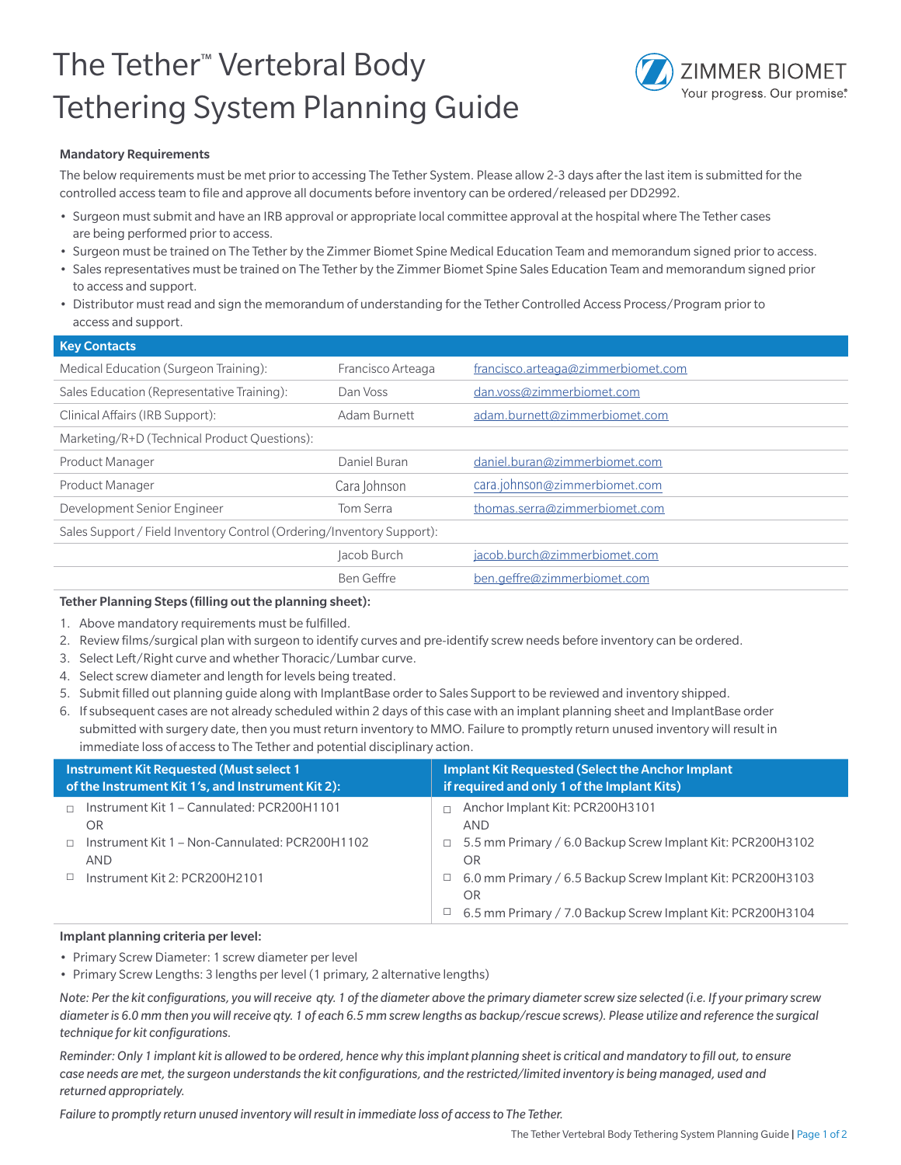# The Tether™ Vertebral Body Tethering System Planning Guide



## Mandatory Requirements

The below requirements must be met prior to accessing The Tether System. Please allow 2-3 days after the last item is submitted for the controlled access team to file and approve all documents before inventory can be ordered/released per DD2992.

- Surgeon must submit and have an IRB approval or appropriate local committee approval at the hospital where The Tether cases are being performed prior to access.
- Surgeon must be trained on The Tether by the Zimmer Biomet Spine Medical Education Team and memorandum signed prior to access.
- Sales representatives must be trained on The Tether by the Zimmer Biomet Spine Sales Education Team and memorandum signed prior to access and support.
- Distributor must read and sign the memorandum of understanding for the Tether Controlled Access Process/Program prior to access and support.

| <b>Key Contacts</b>                                                   |                   |                                    |  |  |  |  |
|-----------------------------------------------------------------------|-------------------|------------------------------------|--|--|--|--|
| Medical Education (Surgeon Training):                                 | Francisco Arteaga | francisco.arteaga@zimmerbiomet.com |  |  |  |  |
| Sales Education (Representative Training):                            | Dan Voss          | dan.voss@zimmerbiomet.com          |  |  |  |  |
| Clinical Affairs (IRB Support):                                       | Adam Burnett      | adam.burnett@zimmerbiomet.com      |  |  |  |  |
| Marketing/R+D (Technical Product Questions):                          |                   |                                    |  |  |  |  |
| Product Manager                                                       | Daniel Buran      | daniel.buran@zimmerbiomet.com      |  |  |  |  |
| <b>Product Manager</b>                                                | Cara Johnson      | cara.johnson@zimmerbiomet.com      |  |  |  |  |
| Development Senior Engineer                                           | Tom Serra         | thomas.serra@zimmerbiomet.com      |  |  |  |  |
| Sales Support / Field Inventory Control (Ordering/Inventory Support): |                   |                                    |  |  |  |  |
|                                                                       | Jacob Burch       | jacob.burch@zimmerbiomet.com       |  |  |  |  |
|                                                                       | Ben Geffre        | ben.geffre@zimmerbiomet.com        |  |  |  |  |

### Tether Planning Steps (filling out the planning sheet):

- 1. Above mandatory requirements must be fulfilled.
- 2. Review films/surgical plan with surgeon to identify curves and pre-identify screw needs before inventory can be ordered.
- 3. Select Left/Right curve and whether Thoracic/Lumbar curve.
- 4. Select screw diameter and length for levels being treated.
- 5. Submit filled out planning guide along with ImplantBase order to Sales Support to be reviewed and inventory shipped.
- 6. If subsequent cases are not already scheduled within 2 days of this case with an implant planning sheet and ImplantBase order submitted with surgery date, then you must return inventory to MMO. Failure to promptly return unused inventory will result in immediate loss of access to The Tether and potential disciplinary action.

| <b>Instrument Kit Requested (Must select 1)</b><br>of the Instrument Kit 1's, and Instrument Kit 2): |                                                              |        | <b>Implant Kit Requested (Select the Anchor Implant</b><br>if required and only 1 of the Implant Kits) |  |  |  |  |
|------------------------------------------------------------------------------------------------------|--------------------------------------------------------------|--------|--------------------------------------------------------------------------------------------------------|--|--|--|--|
|                                                                                                      | Instrument Kit 1 - Cannulated: PCR200H1101<br>OR.            |        | Anchor Implant Kit: PCR200H3101<br><b>AND</b>                                                          |  |  |  |  |
|                                                                                                      | Instrument Kit 1 – Non-Cannulated: PCR200H1102<br><b>AND</b> |        | $\Box$ 5.5 mm Primary / 6.0 Backup Screw Implant Kit: PCR200H3102<br>OR                                |  |  |  |  |
|                                                                                                      | Instrument Kit 2: PCR200H2101                                | $\Box$ | 6.0 mm Primary / 6.5 Backup Screw Implant Kit: PCR200H3103<br>O <sub>R</sub>                           |  |  |  |  |
|                                                                                                      |                                                              | ш      | 6.5 mm Primary / 7.0 Backup Screw Implant Kit: PCR200H3104                                             |  |  |  |  |

### Implant planning criteria per level:

• Primary Screw Diameter: 1 screw diameter per level

• Primary Screw Lengths: 3 lengths per level (1 primary, 2 alternative lengths)

*Note: Per the kit configurations, you will receive qty. 1 of the diameter above the primary diameter screw size selected (i.e. If your primary screw diameter is 6.0 mm then you will receive qty. 1 of each 6.5 mm screw lengths as backup/rescue screws). Please utilize and reference the surgical technique for kit configurations.*

*Reminder: Only 1 implant kit is allowed to be ordered, hence why this implant planning sheet is critical and mandatory to fill out, to ensure case needs are met, the surgeon understands the kit configurations, and the restricted/limited inventory is being managed, used and returned appropriately.*

*Failure to promptly return unused inventory will result in immediate loss of access to The Tether.*